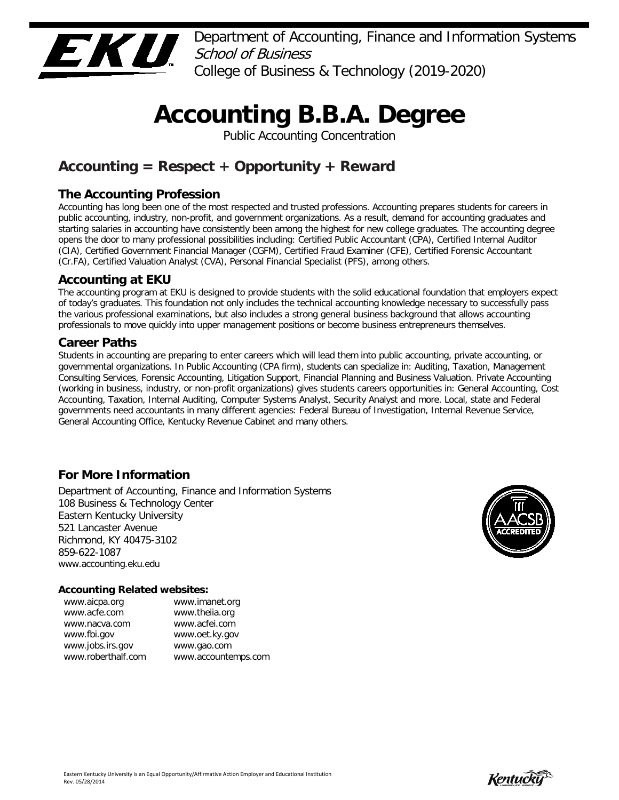

Department of Accounting, Finance and Information Systems School of Business College of Business & Technology (2019-2020)

# **Accounting B.B.A. Degree**

Public Accounting Concentration

## **Accounting = Respect + Opportunity + Reward**

## **The Accounting Profession**

Accounting has long been one of the most respected and trusted professions. Accounting prepares students for careers in public accounting, industry, non-profit, and government organizations. As a result, demand for accounting graduates and starting salaries in accounting have consistently been among the highest for new college graduates. The accounting degree opens the door to many professional possibilities including: Certified Public Accountant (CPA), Certified Internal Auditor (CIA), Certified Government Financial Manager (CGFM), Certified Fraud Examiner (CFE), Certified Forensic Accountant (Cr.FA), Certified Valuation Analyst (CVA), Personal Financial Specialist (PFS), among others.

## **Accounting at EKU**

The accounting program at EKU is designed to provide students with the solid educational foundation that employers expect of today's graduates. This foundation not only includes the technical accounting knowledge necessary to successfully pass the various professional examinations, but also includes a strong general business background that allows accounting professionals to move quickly into upper management positions or become business entrepreneurs themselves.

## **Career Paths**

Students in accounting are preparing to enter careers which will lead them into public accounting, private accounting, or governmental organizations. In Public Accounting (CPA firm), students can specialize in: Auditing, Taxation, Management Consulting Services, Forensic Accounting, Litigation Support, Financial Planning and Business Valuation. Private Accounting (working in business, industry, or non-profit organizations) gives students careers opportunities in: General Accounting, Cost Accounting, Taxation, Internal Auditing, Computer Systems Analyst, Security Analyst and more. Local, state and Federal governments need accountants in many different agencies: Federal Bureau of Investigation, Internal Revenue Service, General Accounting Office, Kentucky Revenue Cabinet and many others.

## **For More Information**

Department of Accounting, Finance and Information Systems 108 Business & Technology Center Eastern Kentucky University 521 Lancaster Avenue Richmond, KY 40475-3102 859-622-1087 www.accounting.eku.edu

#### **Accounting Related websites:**

| www.aicpa.org      | www.imanet.org      |
|--------------------|---------------------|
| www.acfe.com       | www.theiia.org      |
| www.nacva.com      | www.acfei.com       |
| www.fbi.gov        | www.oet.ky.gov      |
| www.jobs.irs.gov   | www.gao.com         |
| www.roberthalf.com | www.accountemps.com |
|                    |                     |